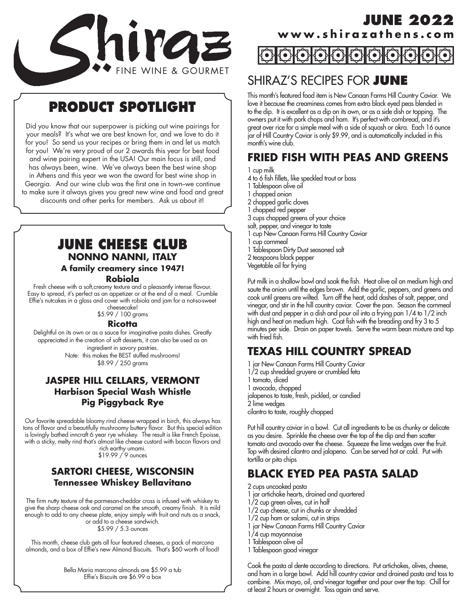

# **PRODUCT SPOTLIGHT**

Did you know that our superpower is picking out wine pairings for your meals? It's what we are best known for, and we love to do it for you! So send us your recipes or bring them in and let us match for you! We're very proud of our 2 awards this year for best food and wine pairing expert in the USA! Our main focus is still, and has always been, wine. We've always been the best wine shop in Athens and this year we won the award for best wine shop in Georgia. And our wine club was the first one in town-we continue to make sure it always gives you great new wine and food and great discounts and other perks for members. Ask us about it!

## **JUNE CHEESE CLUB NONNO NANNI, ITALY**

### **A family creamery since 1947! Robiola**

Fresh cheese with a soft,creamy texture and a pleasantly intense flavour. Easy to spread, it's perfect as an appetizer or at the end of a meal. Crumble

Effie's nutcakes in a glass and cover with robiola and jam for a not-so-sweet cheesecake!

\$5.99 / 100 grams

#### **Ricotta**

Delightful on its own or as a sauce for imaginative pasta dishes. Greatly appreciated in the creation of soft desserts, it can also be used as an ingredient in savory pastries. Note: this makes the BEST stuffed mushrooms! \$8.99 / 250 grams

### **JASPER HILL CELLARS, VERMONT Harbison Special Wash Whistle Pig Piggyback Rye**

Our favorite spreadable bloomy rind cheese wrapped in birch, this always has tons of flavor and a beautifully mushroomy buttery flavor. But this special edition is lovingly bathed inncraft 6 year rye whiskey. The result is like French Epoisse, with a sticky, melty rind that's almost like cheese custard with bacon flavors and rich earthy umami.

\$19.99 / 9 ounces

### **SARTORI CHEESE, WISCONSIN Tennessee Whiskey Bellavitano**

The firm nutty texture of the parmesan-cheddar cross is infused with whiskey to give the sharp cheese oak and caramel on the smooth, creamy finish. It is mild enough to add to any cheese plate, enjoy simply with fruit and nuts as a snack, or add to a cheese sandwich. \$5.99 / 5.3 ounces

This month, cheese club gets all four featured cheeses, a pack of marcona almonds, and a box of Effie's new Almond Biscuits. That's \$60 worth of food!

> Bella Maria marcona almonds are \$5.99 a tub Effie's Biscuits are \$6.99 a box

## **JUNE 2022 www.shirazathens.com**

## SHIRAZ'S RECIPES FOR **JUNE**

This month's featured food item is New Canaan Farms Hill Country Caviar. We love it because the creaminess comes from extra black eyed peas blended in to the dip. It is excellent as a dip on its own, or as a side dish or topping. The owners put it with pork chops and ham. It's perfect with cornbread, and it's great over rice for a simple meal with a side of squash or okra. Each 16 ounce jar of Hill Country Caviar is only \$9.99, and is automatically included in this month's wine club.

## **FRIED FISH WITH PEAS AND GREENS**

1 cup milk

- 4 to 6 fish fillets, like speckled trout or bass
- 1 Tablespoon olive oil
- 1 chopped onion
- 2 chopped garlic cloves
- 1 chopped red pepper
- 3 cups chopped greens of your choice
- salt, pepper, and vinegar to taste
- 1 cup New Canaan Farms Hill Country Caviar
- 1 cup cornmeal
- 1 Tablespoon Dirty Dust seasoned salt

2 teaspoons black pepper

Vegetable oil for frying

Put milk in a shallow bowl and soak the fish. Heat olive oil on medium high and saute the onion until the edges brown. Add the garlic, peppers, and greens and cook until greens are wilted. Turn off the heat, add dashes of salt, pepper, and vinegar, and stir in the hill country caviar. Cover the pan. Season the cornmeal with dust and pepper in a dish and pour oil into a frying pan 1/4 to 1/2 inch high and heat on medium high. Coat fish with the breading and fry 3 to 5 minutes per side. Drain on paper towels. Serve the warm bean mixture and top with fried fish.

## **TEXAS HILL COUNTRY SPREAD**

- 1 jar New Canaan Farms Hill Country Caviar
- 1/2 cup shredded gruyere or crumbled feta
- 1 tomato, diced
- 1 avocado, chopped
- jalapenos to taste, fresh, pickled, or candied
- 2 lime wedges

cilantro to taste, roughly chopped

Put hill country caviar in a bowl. Cut all ingredients to be as chunky or delicate as you desire. Sprinkle the cheese over the top of the dip and then scatter tomato and avocado over the cheese. Squeeze the lime wedges over the fruit. Top with desired cilantro and jalapeno. Can be served hot or cold. Put with tortilla or pita chips

## **BLACK EYED PEA PASTA SALAD**

2 cups uncooked pasta

- 1 jar artichoke hearts, drained and quartered
- 1/2 cup green olives, cut in half
- 1/2 cup cheese, cut in chunks or shredded
- 1/2 cup ham or salami, cut in strips
- 1 jar New Canaan Farms Hill Country Caviar
- 1/4 cup mayonnaise
- 1 Tablespoon olive oil
- 1 Tablespoon good vinegar

Cook the pasta al dente according to directions. Put artichokes, olives, cheese, and ham in a large bowl. Add hill country caviar and drained pasta and toss to combine. Mix mayo, oil, and vinegar together and pour over the top. Chill for at least 2 hours or overnight. Toss again and serve.